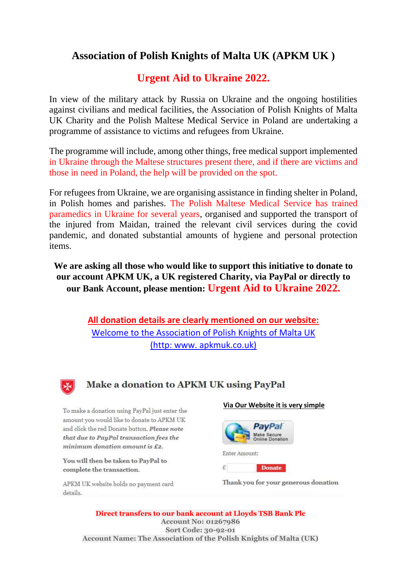## **Association of Polish Knights of Malta UK (APKM UK )**

# **Urgent Aid to Ukraine 2022.**

In view of the military attack by Russia on Ukraine and the ongoing hostilities against civilians and medical facilities, the Association of Polish Knights of Malta UK Charity and the Polish Maltese Medical Service in Poland are undertaking a programme of assistance to victims and refugees from Ukraine.

The programme will include, among other things, free medical support implemented in Ukraine through the Maltese structures present there, and if there are victims and those in need in Poland, the help will be provided on the spot.

For refugees from Ukraine, we are organising assistance in finding shelter in Poland, in Polish homes and parishes. The Polish Maltese Medical Service has trained paramedics in Ukraine for several years, organised and supported the transport of the injured from Maidan, trained the relevant civil services during the covid pandemic, and donated substantial amounts of hygiene and personal protection items.

**We are asking all those who would like to support this initiative to donate to our account APKM UK, a UK registered Charity, via PayPal or directly to our Bank Account, please mention: Urgent Aid to Ukraine 2022.**

> **All donation details are clearly mentioned on our website:**  [Welcome to the Association of Polish Knights of Malta UK](http://www.apkmuk.co.uk/)  [\(http: www. apkmuk.co.uk\)](http://www.apkmuk.co.uk/)



## Make a donation to APKM UK using PayPal

To make a donation using PayPal just enter the amount you would like to donate to APKM UK and click the red Donate button. Please note that due to PayPal transaction fees the  $minimum\,$  donation amount is  $£2$ .

You will then be taken to PayPal to complete the transaction.

APKM UK website holds no payment card details.

#### **Via Our Website it is very simple**



Thank you for your generous donation

**Direct transfers to our bank account at Lloyds TSB Bank Plc Account No: 01267986 Sort Code: 30-92-01 Account Name: The Association of the Polish Knights of Malta (UK)**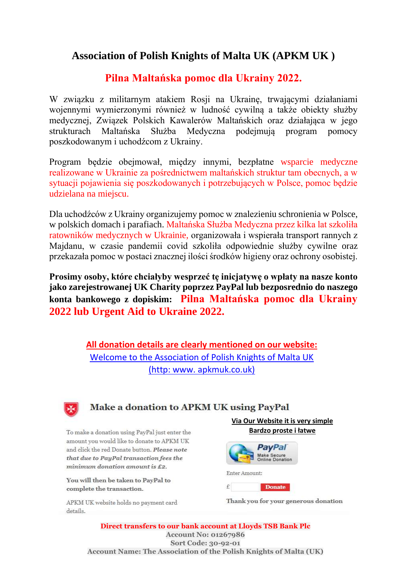## **Association of Polish Knights of Malta UK (APKM UK )**

### **Pilna Maltańska pomoc dla Ukrainy 2022.**

W związku z militarnym atakiem Rosji na Ukrainę, trwającymi działaniami wojennymi wymierzonymi również w ludność cywilną a także obiekty służby medycznej, Związek Polskich Kawalerów Maltańskich oraz działająca w jego strukturach Maltańska Służba Medyczna podejmują program pomocy poszkodowanym i uchodźcom z Ukrainy.

Program będzie obejmował, między innymi, bezpłatne wsparcie medyczne realizowane w Ukrainie za pośrednictwem maltańskich struktur tam obecnych, a w sytuacji pojawienia się poszkodowanych i potrzebujących w Polsce, pomoc będzie udzielana na miejscu.

Dla uchodźców z Ukrainy organizujemy pomoc w znalezieniu schronienia w Polsce, w polskich domach i parafiach. Maltańska Służba Medyczna przez kilka lat szkoliła ratowników medycznych w Ukrainie, organizowała i wspierała transport rannych z Majdanu, w czasie pandemii covid szkoliła odpowiednie służby cywilne oraz przekazała pomoc w postaci znacznej ilości środków higieny oraz ochrony osobistej.

**Prosimy osoby, które chciałyby wesprzeć tę inicjatywę o wpłaty na nasze konto jako zarejestrowanej UK Charity poprzez PayPal lub bezposrednio do naszego konta bankowego z dopiskim: Pilna Maltańska pomoc dla Ukrainy 2022 lub Urgent Aid to Ukraine 2022.**

> **All donation details are clearly mentioned on our website:**  [Welcome to the Association of Polish Knights of Malta UK](http://www.apkmuk.co.uk/)  [\(http: www. apkmuk.co.uk\)](http://www.apkmuk.co.uk/)



### Make a donation to APKM UK using PayPal

To make a donation using PayPal just enter the amount you would like to donate to APKM UK and click the red Donate button. Please note that due to PayPal transaction fees the  $minimum$  donation amount is £2.

You will then be taken to PayPal to complete the transaction.

APKM UK website holds no payment card details.

**Via Our Website it is very simple Bardzo proste i łatwe**



Thank you for your generous donation

**Direct transfers to our bank account at Lloyds TSB Bank Plc Account No: 01267986 Sort Code: 30-92-01 Account Name: The Association of the Polish Knights of Malta (UK)**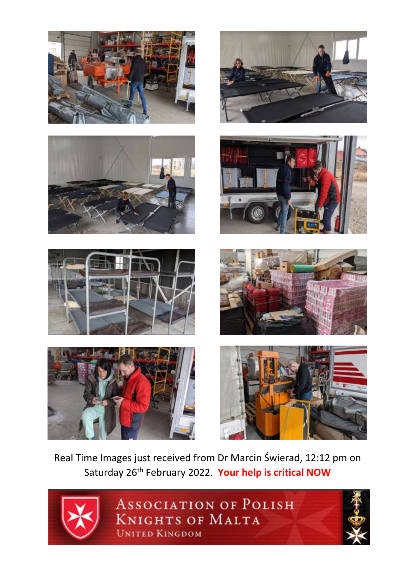















Real Time Images just received from Dr Marcin Świerad, 12:12 pm on Saturday 26th February 2022. **Your help is critical NOW**



**ASSOCIATION OF POLISH KNIGHTS OF MALTA UNITED KINGDOM**